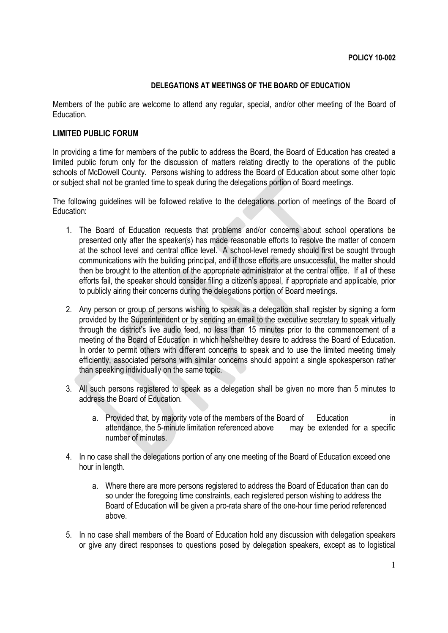## **DELEGATIONS AT MEETINGS OF THE BOARD OF EDUCATION**

Members of the public are welcome to attend any regular, special, and/or other meeting of the Board of Education.

## **LIMITED PUBLIC FORUM**

In providing a time for members of the public to address the Board, the Board of Education has created a limited public forum only for the discussion of matters relating directly to the operations of the public schools of McDowell County. Persons wishing to address the Board of Education about some other topic or subject shall not be granted time to speak during the delegations portion of Board meetings.

The following guidelines will be followed relative to the delegations portion of meetings of the Board of Education:

- 1. The Board of Education requests that problems and/or concerns about school operations be presented only after the speaker(s) has made reasonable efforts to resolve the matter of concern at the school level and central office level. A school-level remedy should first be sought through communications with the building principal, and if those efforts are unsuccessful, the matter should then be brought to the attention of the appropriate administrator at the central office. If all of these efforts fail, the speaker should consider filing a citizen's appeal, if appropriate and applicable, prior to publicly airing their concerns during the delegations portion of Board meetings.
- 2. Any person or group of persons wishing to speak as a delegation shall register by signing a form provided by the Superintendent or by sending an email to the executive secretary to speak virtually through the district's live audio feed, no less than 15 minutes prior to the commencement of a meeting of the Board of Education in which he/she/they desire to address the Board of Education. In order to permit others with different concerns to speak and to use the limited meeting timely efficiently, associated persons with similar concerns should appoint a single spokesperson rather than speaking individually on the same topic.
- 3. All such persons registered to speak as a delegation shall be given no more than 5 minutes to address the Board of Education.
	- a. Provided that, by majority vote of the members of the Board of Education in attendance, the 5-minute limitation referenced above may be extended for a specific number of minutes.
- 4. In no case shall the delegations portion of any one meeting of the Board of Education exceed one hour in length.
	- a. Where there are more persons registered to address the Board of Education than can do so under the foregoing time constraints, each registered person wishing to address the Board of Education will be given a pro-rata share of the one-hour time period referenced above.
- 5. In no case shall members of the Board of Education hold any discussion with delegation speakers or give any direct responses to questions posed by delegation speakers, except as to logistical